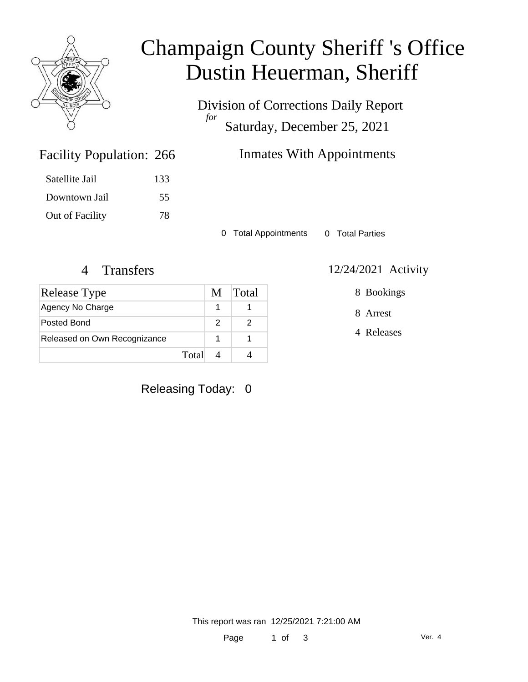

# Champaign County Sheriff 's Office Dustin Heuerman, Sheriff

Division of Corrections Daily Report *for* Saturday, December 25, 2021

| <b>Facility Population: 266</b> |     |
|---------------------------------|-----|
| Satellite Jail                  | 133 |
| Downtown Jail                   | 55  |
| Out of Facility                 | 78  |

### Inmates With Appointments

0 Total Appointments 0 Total Parties

#### 4 Transfers 12/24/2021 Activity

| <b>Release Type</b>          | M | <b>Total</b> |
|------------------------------|---|--------------|
| Agency No Charge             |   |              |
| Posted Bond                  |   |              |
| Released on Own Recognizance |   |              |
| Total                        |   |              |

### Releasing Today: 0

8 Bookings

8 Arrest

4 Releases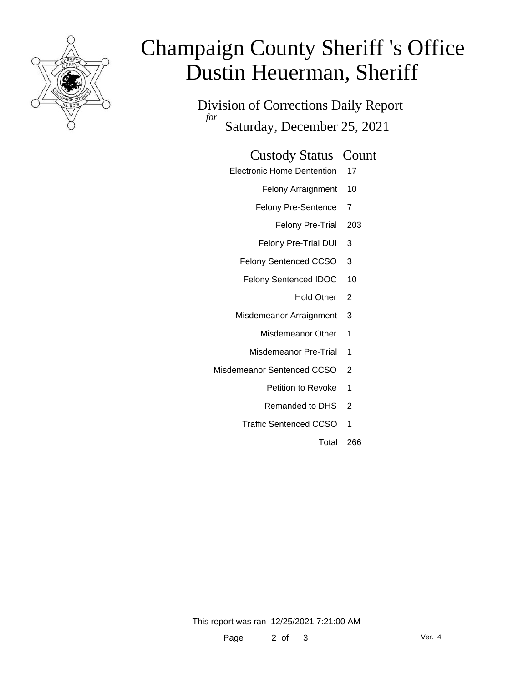

# Champaign County Sheriff 's Office Dustin Heuerman, Sheriff

Division of Corrections Daily Report *for* Saturday, December 25, 2021

#### Custody Status Count

- Electronic Home Dentention 17
	- Felony Arraignment 10
	- Felony Pre-Sentence 7
		- Felony Pre-Trial 203
	- Felony Pre-Trial DUI 3
	- Felony Sentenced CCSO 3
	- Felony Sentenced IDOC 10
		- Hold Other 2
	- Misdemeanor Arraignment 3
		- Misdemeanor Other 1
		- Misdemeanor Pre-Trial 1
- Misdemeanor Sentenced CCSO 2
	- Petition to Revoke 1
	- Remanded to DHS 2
	- Traffic Sentenced CCSO 1
		- Total 266

This report was ran 12/25/2021 7:21:00 AM